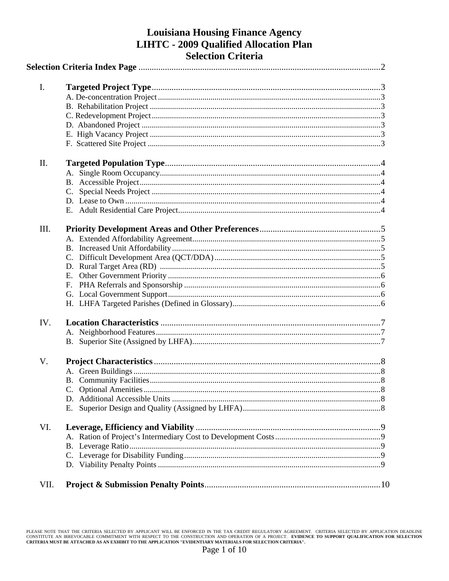# **Louisiana Housing Finance Agency LIHTC - 2009 Qualified Allocation Plan Selection Criteria**

| I.   |    |  |
|------|----|--|
|      |    |  |
|      |    |  |
|      |    |  |
|      |    |  |
|      |    |  |
|      |    |  |
| II.  |    |  |
|      |    |  |
|      |    |  |
|      |    |  |
|      |    |  |
|      |    |  |
|      |    |  |
| III. |    |  |
|      |    |  |
|      |    |  |
|      |    |  |
|      |    |  |
|      | Е. |  |
|      |    |  |
|      |    |  |
|      |    |  |
| IV.  |    |  |
|      |    |  |
|      |    |  |
| V.   |    |  |
|      |    |  |
|      |    |  |
|      |    |  |
|      |    |  |
|      |    |  |
| VI.  |    |  |
|      |    |  |
|      |    |  |
|      |    |  |
|      |    |  |
|      |    |  |
| VII. |    |  |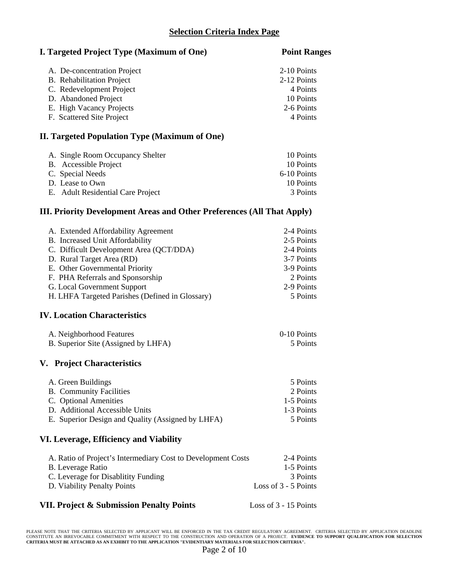# **Selection Criteria Index Page**

### **I. Targeted Project Type (Maximum of One)** Point Ranges

| A. De-concentration Project | 2-10 Points |
|-----------------------------|-------------|
| B. Rehabilitation Project   | 2-12 Points |
| C. Redevelopment Project    | 4 Points    |
| D. Abandoned Project        | 10 Points   |
| E. High Vacancy Projects    | 2-6 Points  |
| F. Scattered Site Project   | 4 Points    |

# **II. Targeted Population Type (Maximum of One)**

| A. Single Room Occupancy Shelter  | 10 Points   |
|-----------------------------------|-------------|
| B. Accessible Project             | 10 Points   |
| C. Special Needs                  | 6-10 Points |
| D. Lease to Own                   | 10 Points   |
| E. Adult Residential Care Project | 3 Points    |

# **III. Priority Development Areas and Other Preferences (All That Apply)**

| A. Extended Affordability Agreement             | 2-4 Points |
|-------------------------------------------------|------------|
| B. Increased Unit Affordability                 | 2-5 Points |
| C. Difficult Development Area (QCT/DDA)         | 2-4 Points |
| D. Rural Target Area (RD)                       | 3-7 Points |
| E. Other Governmental Priority                  | 3-9 Points |
| F. PHA Referrals and Sponsorship                | 2 Points   |
| G. Local Government Support                     | 2-9 Points |
| H. LHFA Targeted Parishes (Defined in Glossary) | 5 Points   |
|                                                 |            |

# **IV. Location Characteristics**

| A. Neighborhood Features            | 0-10 Points |
|-------------------------------------|-------------|
| B. Superior Site (Assigned by LHFA) | 5 Points    |

#### **V. Project Characteristics**

| A. Green Buildings                                | 5 Points   |
|---------------------------------------------------|------------|
| <b>B.</b> Community Facilities                    | 2 Points   |
| C. Optional Amenities                             | 1-5 Points |
| D. Additional Accessible Units                    | 1-3 Points |
| E. Superior Design and Quality (Assigned by LHFA) | 5 Points   |

### **VI. Leverage, Efficiency and Viability**

| A. Ratio of Project's Intermediary Cost to Development Costs | 2-4 Points             |
|--------------------------------------------------------------|------------------------|
| B. Leverage Ratio                                            | 1-5 Points             |
| C. Leverage for Disablitity Funding                          | 3 Points               |
| D. Viability Penalty Points                                  | Loss of $3 - 5$ Points |
|                                                              |                        |

#### **VII. Project & Submission Penalty Points** Loss of 3 - 15 Points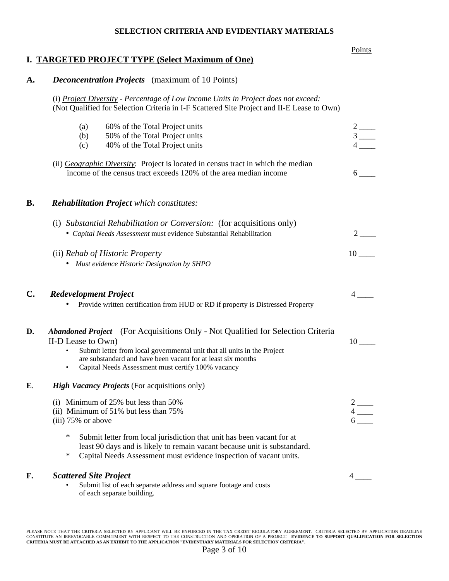#### **SELECTION CRITERIA AND EVIDENTIARY MATERIALS**

#### Points and the contract of the contract of the contract of the contract of the contract of the contract of the contract of the contract of the contract of the contract of the contract of the contract of the contract of the

# **I. TARGETED PROJECT TYPE (Select Maximum of One)**

# **A.** *Deconcentration Projects* (maximum of 10 Points)

(i) *Project Diversity - Percentage of Low Income Units in Project does not exceed:* (Not Qualified for Selection Criteria in I-F Scattered Site Project and II-E Lease to Own)

|    | 60% of the Total Project units<br>(a)                                                                                                                                                                                                                                                                                                    | $2$ —                                                                                                 |
|----|------------------------------------------------------------------------------------------------------------------------------------------------------------------------------------------------------------------------------------------------------------------------------------------------------------------------------------------|-------------------------------------------------------------------------------------------------------|
|    | (b)<br>50% of the Total Project units                                                                                                                                                                                                                                                                                                    | $3$ —                                                                                                 |
|    | 40% of the Total Project units<br>(c)                                                                                                                                                                                                                                                                                                    |                                                                                                       |
|    | (ii) <i>Geographic Diversity</i> : Project is located in census tract in which the median<br>income of the census tract exceeds 120% of the area median income                                                                                                                                                                           | $6\degree$                                                                                            |
| B. | <b>Rehabilitation Project</b> which constitutes:                                                                                                                                                                                                                                                                                         |                                                                                                       |
|    | (i) Substantial Rehabilitation or Conversion: (for acquisitions only)<br>• Capital Needs Assessment must evidence Substantial Rehabilitation                                                                                                                                                                                             | 2                                                                                                     |
|    | (ii) Rehab of Historic Property<br>• Must evidence Historic Designation by SHPO                                                                                                                                                                                                                                                          | 10                                                                                                    |
| C. | <b>Redevelopment Project</b><br>Provide written certification from HUD or RD if property is Distressed Property                                                                                                                                                                                                                          | 4                                                                                                     |
| D. | <b>Abandoned Project</b> (For Acquisitions Only - Not Qualified for Selection Criteria<br>II-D Lease to Own)<br>Submit letter from local governmental unit that all units in the Project<br>$\bullet$<br>are substandard and have been vacant for at least six months<br>Capital Needs Assessment must certify 100% vacancy<br>$\bullet$ | 10                                                                                                    |
| E. | <b>High Vacancy Projects</b> (For acquisitions only)                                                                                                                                                                                                                                                                                     |                                                                                                       |
|    | (i) Minimum of $25\%$ but less than $50\%$<br>(ii) Minimum of 51% but less than 75%<br>$(iii)$ 75% or above                                                                                                                                                                                                                              | $\begin{array}{c}\n2 \\ 4 \overline{\phantom{0}} \\ \phantom{0}6 \overline{\phantom{0}}\n\end{array}$ |
|    | ∗<br>Submit letter from local jurisdiction that unit has been vacant for at<br>least 90 days and is likely to remain vacant because unit is substandard.<br>$\ast$<br>Capital Needs Assessment must evidence inspection of vacant units.                                                                                                 |                                                                                                       |
| F. | <b>Scattered Site Project</b><br>Submit list of each separate address and square footage and costs<br>of each separate building.                                                                                                                                                                                                         | $4-$                                                                                                  |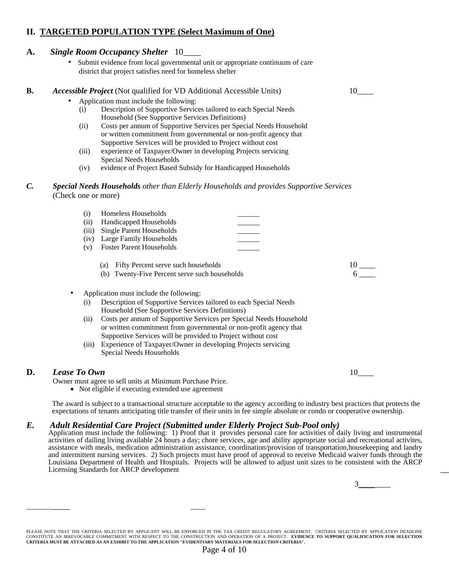# **II. TARGETED POPULATION TYPE (Select Maximum of One)**

### **A.** *Single Room Occupancy Shelter* 10\_\_\_\_

 • Submit evidence from local governmental unit or appropriate continuum of care district that project satisfies need for homeless shelter

#### **B.** *Accessible Project* (Not qualified for VD Additional Accessible Units) 10

- Application must include the following:
	- (i) Description of Supportive Services tailored to each Special Needs Household (See Supportive Services Definitions)
	- (ii) Costs per annum of Supportive Services per Special Needs Household or written commitment from governmental or non-profit agency that Supportive Services will be provided to Project without cost
	- (iii) experience of Taxpayer/Owner in developing Projects servicing Special Needs Households
	- (iv) evidence of Project Based Subsidy for Handicapped Households

*C. Special Needs Households other than Elderly Households and provides Supportive Services* (Check one or more)

|     | Homeless Households            |  |
|-----|--------------------------------|--|
| (i) | Handicapped Households         |  |
|     | (iii) Single Parent Households |  |
|     | (iv) Large Family Households   |  |
|     | (v) Foster Parent Households   |  |
|     |                                |  |

- (a) Fifty Percent serve such households 10 \_\_\_\_\_\_
- (b) Twenty-Five Percent serve such households 6
- Application must include the following:
	- (i) Description of Supportive Services tailored to each Special Needs Household (See Supportive Services Definitions)
	- (ii) Costs per annum of Supportive Services per Special Needs Household or written commitment from governmental or non-profit agency that Supportive Services will be provided to Project without cost
	- (iii) Experience of Taxpayer/Owner in developing Projects servicing Special Needs Households

#### **D.** *Lease To Own*  $10$

Owner must agree to sell units at Minimum Purchase Price.

\_\_\_\_\_\_\_\_\_\_\_\_\_\_\_

• Not eligible if executing extended use agreement

 The award is subject to a transactional structure acceptable to the agency according to industry best practices that protects the expectations of tenants anticipating title transfer of their units in fee simple absolute or condo or cooperative ownership.

# *E.* Adult Residential Care Project (Submitted under Elderly Project Sub-Pool only)<br>Application must include the following: 1) Proof that it provides personal care for activities of daily living and instrumental

activities of dailing living available 24 hours a day; chore services, age and ability appropriate social and recreational activites, assistance with meals, medication administration assistance, coordination/provision of transportation,housekeeping and landry and intermittent nursing services. 2) Such projects must have proof of approval to receive Medicaid waiver funds through the Louisiana Department of Health and Hospitals. Projects will be allowed to adjust unit sizes to be consistent with the ARCP Licensing Standards for ARCP development \_\_

 $3$ 

PLEASE NOTE THAT THE CRITERIA SELECTED BY APPLICANT WILL BE ENFORCED IN THE TAX CREDIT REGULATORY AGREEMENT. CRITERIA SELECTED BY APPLICATION DEADLINE<br>CONSTITUTE AN IRREVOCABLE COMMITMENT WITH RESPECT TO THE CONSTRUCTION A **CRITERIA MUST BE ATTACHED AS AN EXHIBIT TO THE APPLICATION "EVIDENTIARY MATERIALS FOR SELECTION CRITERIA".**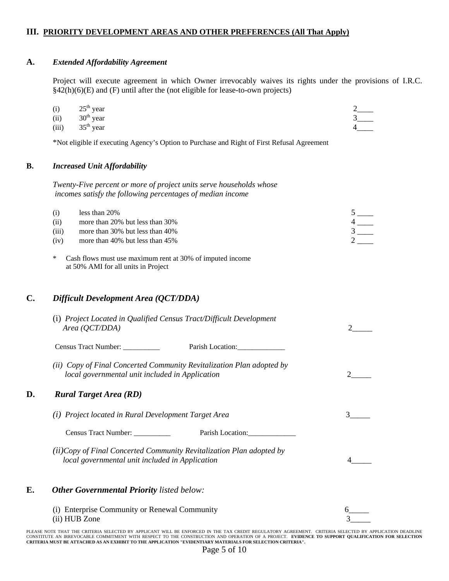#### **III. PRIORITY DEVELOPMENT AREAS AND OTHER PREFERENCES (All That Apply)**

#### **A.** *Extended Affordability Agreement*

Project will execute agreement in which Owner irrevocably waives its rights under the provisions of I.R.C. §42(h)(6)(E) and (F) until after the (not eligible for lease-to-own projects)

| (i) $25th$ year |  |
|-----------------|--|
|                 |  |

(ii) 30th year 3\_\_\_\_

(iii)  $35^{\text{th}}$  year  $4$ 

\*Not eligible if executing Agency's Option to Purchase and Right of First Refusal Agreement

#### **B.** *Increased Unit Affordability*

 *Twenty-Five percent or more of project units serve households whose incomes satisfy the following percentages of median income*

| (i)   | less than 20%<br>more than 20% but less than 30% |  |
|-------|--------------------------------------------------|--|
| (iii) | more than 30% but less than 40%                  |  |
| (iv)  | more than $40\%$ but less than $45\%$            |  |

 \* Cash flows must use maximum rent at 30% of imputed income at 50% AMI for all units in Project

#### **C.** *Difficult Development Area (QCT/DDA)*

|    | (i) Project Located in Qualified Census Tract/Difficult Development<br>Area (QCT/DDA)                                    |  |
|----|--------------------------------------------------------------------------------------------------------------------------|--|
|    | Census Tract Number: ___________<br>Parish Location:                                                                     |  |
|    | (ii) Copy of Final Concerted Community Revitalization Plan adopted by<br>local governmental unit included in Application |  |
| D. | <b>Rural Target Area (RD)</b>                                                                                            |  |
|    | (i) Project located in Rural Development Target Area                                                                     |  |
|    | Census Tract Number:<br>Parish Location:                                                                                 |  |
|    | (ii)Copy of Final Concerted Community Revitalization Plan adopted by<br>local governmental unit included in Application  |  |
| E. | <b>Other Governmental Priority</b> listed below:                                                                         |  |
|    | (i) Enterprise Community or Renewal Community<br>(ii) HUB Zone                                                           |  |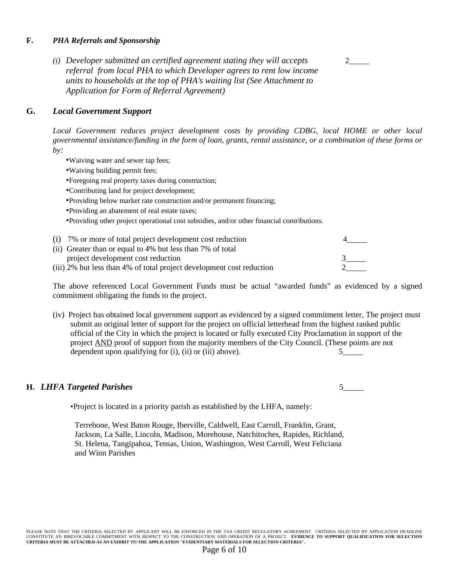#### **F.** *PHA Referrals and Sponsorship*

*(i) Developer submitted an certified agreement stating they will accepts* 2\_\_\_\_\_  *referral from local PHA to which Developer agrees to rent low income units to households at the top of PHA's waiting list (See Attachment to Application for Form of Referral Agreement)* 

### **G.** *Local Government Support*

*Local Government reduces project development costs by providing CDBG, local HOME or other local governmental assistance/funding in the form of loan, grants, rental assistance, or a combination of these forms or by:* 

- •Waiving water and sewer tap fees;
- •Waiving building permit fees;
- •Foregoing real property taxes during construction;
- •Contributing land for project development;
- •Providing below market rate construction and/or permanent financing;
- •Providing an abatement of real estate taxes;

•Providing other project operational cost subsidies, and/or other financial contributions.

| (i) 7% or more of total project development cost reduction            |  |
|-----------------------------------------------------------------------|--|
| (ii) Greater than or equal to 4% but less than 7% of total            |  |
| project development cost reduction                                    |  |
| (iii) 2% but less than 4% of total project development cost reduction |  |

The above referenced Local Government Funds must be actual "awarded funds" as evidenced by a signed commitment obligating the funds to the project.

(iv) Project has obtained local government support as evidenced by a signed commitment letter, The project must submit an original letter of support for the project on official letterhead from the highest ranked public official of the City in which the project is located or fully executed City Proclamation in support of the project AND proof of support from the majority members of the City Council. (These points are not dependent upon qualifying for  $(i)$ ,  $(ii)$  or  $(iii)$  above).  $5$  5

# **H.** *LHFA Targeted Parishes* 5\_\_\_\_\_

•Project is located in a priority parish as established by the LHFA, namely:

Terrebone, West Baton Rouge, Iberville, Caldwell, East Carroll, Franklin, Grant, Jackson, La Salle, Lincoln, Madison, Morehouse, Natchitoches, Rapides, Richland, St. Helena, Tangipahoa, Tensas, Union, Washington, West Carroll, West Feliciana and Winn Parishes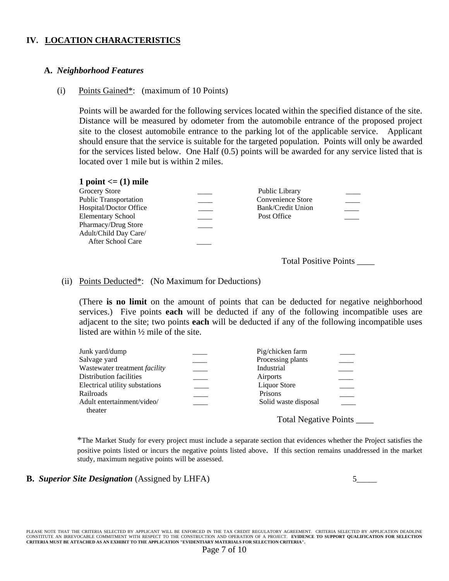# **IV. LOCATION CHARACTERISTICS**

#### **A.** *Neighborhood Features*

#### (i) Points Gained\*: (maximum of 10 Points)

Points will be awarded for the following services located within the specified distance of the site. Distance will be measured by odometer from the automobile entrance of the proposed project site to the closest automobile entrance to the parking lot of the applicable service. Applicant should ensure that the service is suitable for the targeted population. Points will only be awarded for the services listed below. One Half (0.5) points will be awarded for any service listed that is located over 1 mile but is within 2 miles.

Total Positive Points \_\_\_\_

#### (ii) Points Deducted\*: (No Maximum for Deductions)

(There **is no limit** on the amount of points that can be deducted for negative neighborhood services.) Five points **each** will be deducted if any of the following incompatible uses are adjacent to the site; two points **each** will be deducted if any of the following incompatible uses listed are within ½ mile of the site.

| Junk yard/dump                 | Pig/chicken farm     |  |
|--------------------------------|----------------------|--|
| Salvage yard                   | Processing plants    |  |
| Wastewater treatment facility  | Industrial           |  |
| Distribution facilities        | Airports             |  |
| Electrical utility substations | <b>Liquor Store</b>  |  |
| Railroads                      | Prisons              |  |
| Adult entertainment/video/     | Solid waste disposal |  |
| theater                        |                      |  |
|                                |                      |  |

Total Negative Points \_\_\_\_\_\_

\*The Market Study for every project must include a separate section that evidences whether the Project satisfies the positive points listed or incurs the negative points listed above. If this section remains unaddressed in the market study, maximum negative points will be assessed.

#### **B.** *Superior Site Designation* (Assigned by LHFA) 5\_\_\_\_\_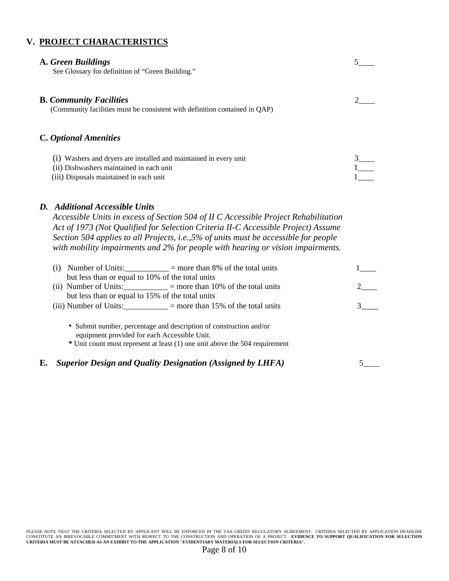# **V. PROJECT CHARACTERISTICS**

# **A.** *Green Buildings* 5\_\_\_\_ See Glossary for definition of "Green Building." **B.** *Community Facilities* 2\_\_\_\_ (Community facilities must be consistent with definition contained in QAP) **C.** *Optional Amenities*  (i) Washers and dryers are installed and maintained in every unit 3\_\_\_\_ (ii) Dishwashers maintained in each unit 1\_\_\_\_ (iii) Disposals maintained in each unit *D. Additional Accessible Units Accessible Units in excess of Section 504 of II C Accessible Project Rehabilitation Act of 1973 (Not Qualified for Selection Criteria II-C Accessible Project) Assume Section 504 applies to all Projects, i.e.,5% of units must be accessible for people with mobility impairments and 2% for people with hearing or vision impairments.*  (i) Number of Units: $\frac{1}{1-\frac{1}{1-\frac{1}{1-\frac{1}{1-\frac{1}{1-\frac{1}{1-\frac{1}{1-\frac{1}{1-\frac{1}{1-\frac{1}{1-\frac{1}{1-\frac{1}{1-\frac{1}{1-\frac{1}{1-\frac{1}{1-\frac{1}{1-\frac{1}{1-\frac{1}{1-\frac{1}{1-\frac{1}{1-\frac{1}{1-\frac{1}{1-\frac{1}{1-\frac{1}{1-\frac{1}{1-\frac{1}{1-\frac{1}{1-\frac{1}{1-\frac{1}{1-\frac{1}{1-\frac{1}{1-\frac{1}{1-\frac{1}{1-\frac$ but less than or equal to 10% of the total units

|                                                  | (ii) Number of Units: $\_\_$ = more than 10% of the total units                                                                                   |  |
|--------------------------------------------------|---------------------------------------------------------------------------------------------------------------------------------------------------|--|
| but less than or equal to 15% of the total units |                                                                                                                                                   |  |
|                                                  | (iii) Number of Units: $=$ more than 15% of the total units                                                                                       |  |
| equipment provided for each Accessible Unit.     | • Submit number, percentage and description of construction and/or<br>* Unit count must represent at least (1) one unit above the 504 requirement |  |

**E.** *Superior Design and Quality Designation (Assigned by LHFA)* 5\_\_\_\_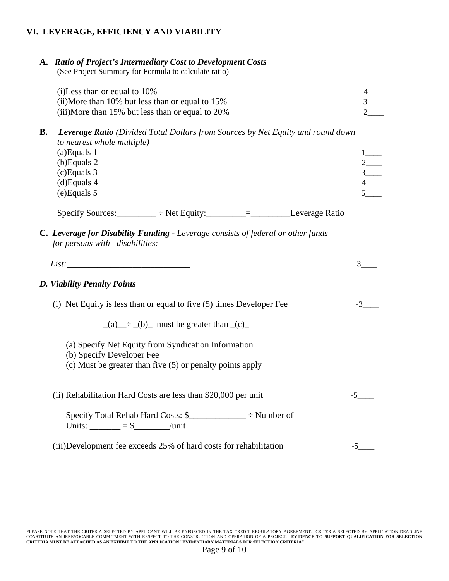# **VI. LEVERAGE, EFFICIENCY AND VIABILITY**

# **A.** *Ratio of Project's Intermediary Cost to Development Costs*

(See Project Summary for Formula to calculate ratio)

| $(i)$ Less than or equal to 10%                  |  |
|--------------------------------------------------|--|
| (ii)More than 10% but less than or equal to 15%  |  |
| (iii)More than 15% but less than or equal to 20% |  |

**B.** *Leverage Ratio (Divided Total Dollars from Sources by Net Equity and round down to nearest whole multiple)* 

| $(a)$ Equals 1 |  |
|----------------|--|
| $(b)$ Equals 2 |  |
| $(c)$ Equals 3 |  |
| $(d)$ Equals 4 |  |
| $(e)$ Equals 5 |  |

Specify Sources:  $\rightarrow$  Net Equity: \_\_\_\_\_\_\_ = \_\_\_\_\_\_\_\_\_\_\_\_\_\_Leverage Ratio

**C.** *Leverage for Disability Funding - Leverage consists of federal or other funds for persons with disabilities:* 

# *D. Viability Penalty Points*

(i) Net Equity is less than or equal to five  $(5)$  times Developer Fee  $-3$ 

 $(a) \div (b)$  must be greater than  $(c)$ 

- (a) Specify Net Equity from Syndication Information
- (b) Specify Developer Fee
- (c) Must be greater than five (5) or penalty points apply

| (ii) Rehabilitation Hard Costs are less than \$20,000 per unit                   |  |
|----------------------------------------------------------------------------------|--|
| Specify Total Rehab Hard Costs: \$<br>$\div$ Number of<br>Units: $=$ \$<br>/unit |  |
| (iii) Development fee exceeds 25% of hard costs for rehabilitation               |  |